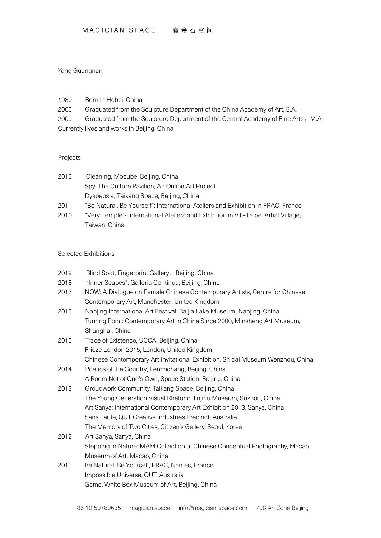## Yang Guangnan

1980 Born in Hebei, China

2006 Graduated from the Sculpture Department of the China Academy of Art, B.A.

2009 Graduated from the Sculpture Department of the Central Academy of Fine Arts, M.A. Currently lives and works in Beijing, China

## Projects

| 2016 | Cleaning, Mocube, Beijing, China                                                  |
|------|-----------------------------------------------------------------------------------|
|      | Spy, The Culture Pavilion, An Online Art Project                                  |
|      | Dyspepsia, Taikang Space, Beijing, China                                          |
| 2011 | "Be Natural, Be Yourself": International Ateliers and Exhibition in FRAC, France  |
| 2010 | "Very Temple"- International Ateliers and Exhibition in VT+Taipei Artist Village, |
|      | Taiwan, China                                                                     |

## Selected Exhibitions

| 2019 | Blind Spot, Fingerprint Gallery, Beijing, China                                |
|------|--------------------------------------------------------------------------------|
| 2018 | "Inner Scapes", Galleria Continua, Beijing, China                              |
| 2017 | NOW: A Dialogue on Female Chinese Contemporary Artists, Centre for Chinese     |
|      | Contemporary Art, Manchester, United Kingdom                                   |
| 2016 | Nanjing International Art Festival, Baijia Lake Museum, Nanjing, China         |
|      | Turning Point: Contemporary Art in China Since 2000, Minsheng Art Museum,      |
|      | Shanghai, China                                                                |
| 2015 | Trace of Existence, UCCA, Beijing, China                                       |
|      | Frieze London 2015, London, United Kingdom                                     |
|      | Chinese Contemporary Art Invitational Exhibition, Shidai Museum Wenzhou, China |
| 2014 | Poetics of the Country, Fenmichang, Beijing, China                             |
|      | A Room Not of One's Own, Space Station, Beijing, China                         |
| 2013 | Groudwork Community, Taikang Space, Beijing, China                             |
|      | The Young Generation Visual Rhetoric, Jinjihu Museum, Suzhou, China            |
|      | Art Sanya: International Contemporary Art Exhibition 2013, Sanya, China        |
|      | Sans Faute, QUT Creative Industries Precinct, Australia                        |
|      | The Memory of Two Cities, Citizen's Gallery, Seoul, Korea                      |
| 2012 | Art Sanya, Sanya, China                                                        |
|      | Stepping in Nature: MAM Collection of Chinese Conceptual Photography, Macao    |
|      | Museum of Art, Macao, China                                                    |
| 2011 | Be Natural, Be Yourself, FRAC, Nantes, France                                  |
|      | Impossible Universe, QUT, Australia                                            |
|      | Game, White Box Museum of Art, Beijing, China                                  |